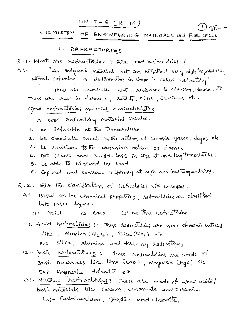| $UNIT-G (R-16)$ |                                                   |  | $O$ or |
|-----------------|---------------------------------------------------|--|--------|
|                 | CHEMISTRY OF ENGINEERING MATERIALS and FUEL CELLS |  |        |

- 1. REFRACTORIES
- Q.1. What are refractures ? Give good retractories ?
- "An Inorganic material that can uithstand verry high temparature A:一 ultiont sostening or deformation in stape is called retractory"
	- These are chemically mest, resistance to corrosion, abrasion etc These are used in furnace, retorts, kilms, crucibles etc.

Good retractories material characterístics.

- A good retractory material should.
- be Infusible at the temporature ۱.
- be chemically snest by the action of corrosive gases, slages etc  $z.$
- be resistant to the abrasion action of flames こ.
- 4. not crack and suffer loss in size at operating temparature.
- 5. be able to withstand the Load
- 6. Expand and contract uniformly at high and low temporatures.
- Q. 2. Give the classification of refractories with examples.
	- A: Based on the chemical properties, retractories are classified into Three types.
		- (2) Base (3) Neutral retractories (1) Acid
	- (1). A cid restractories: These refractories are made of Acidic material like, Alumina  $(Al_2o_3)$ , Silica  $(Sio_1)$  etc  $Ex:-$  silica, Alumina and tise clay retractories.
	- (2) Basic retractories :- These retractories are mode of Basic matérials like lime (cao), magnesia (Mgo) etc Ex:- Magnesité, délamité etc
	- (3). Neutral retractories: These are made of weak acide/ basic materials like Castoon, chromate and zirconia. Ex:- Castoonundum, graphite and chromite.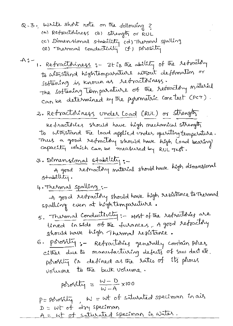- Q.3. Write short note on the following ? (a) Retractoriness (b) strength or RUL (c) Dimensional stability (d) Thermal spalling<br>(e) Thermal conductivity (f) porosity
- A: 1. Retractoriness :- It is the ability of the retractory to withstand hightemparature sithout deformation or Sattening is known as retractoriness. The softening Temparature of the retractory material can be determined by the pyrometric cone test (PCT).

2. Retractoriness under Load (RUL) or strength

Redractories should have high mechanical strength to altristand the load applied under operating temperature. Thus a good refractory should have high Load bearing capacity which can be measured by RUL Test.

3. Dimensional stability:-

A good retractory naterial should have high dimensional  $s+$  and  $\lim_{\epsilon\to 0}$ .

4. Thesmal spalling :-

-A good retractory should have high resistance to Thermal spalling even at héghtemparuiture.

- 5. Thermal Conductivity: Most of the refractories are lined in side of the furances, A good refractory should have high Thermal resistance.
- 6. Porosity : Refractisies generally contain porez cittres due to manufacturing defects of saw dust etc. posity is defined as the sates of its prous volume to the bulk volume.

$$
p\delta\omega\epsilon\delta d\overline{u}_{1} = \frac{W - D}{W - A} \times 100
$$

P= porobity, W = wt of saturated speciman in air dry speciman  $D = WF$  of A = Wt of saturated specimary in water.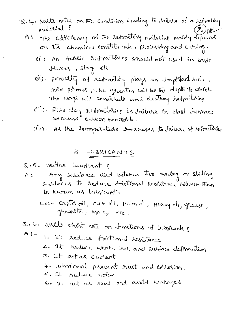- $\alpha$ . 4. write notes on the condition Leading to failure of a retractory material?
	- A: The esticiency of the retractory material mainly depends on its chemical constituents, processing and curing.
		- (i). An Acidic retractories should not used in basic Huxes, slag etc
		- (ii). possibly of retractory plays an important role. more porous, The greates will be the depth to which The slage will penetrate and destroy retractores
		- (iii). Fire clay retractories is failure in blast furmace because cassion montroide.
		- (IV). As the temperature encreases to failure of retractines

# 2. LUBRICANTS

Q.5. Detine Lubricant?

- A: Any substance used between two moring or sliding sustaces to reduce frictional resistance between them is known as lubricant.
	- Ex:- castor oil, olive oil, palm oil, Heavy oil, grease, graphite, MOS2 etc.
- Q. 6. Wilte short note on functions of lubricants?
- $A^{\bullet}$   $A^{\bullet}$  $\mathbf{1}_{\mathbf{z}}$  . It reduce frictional resistance
	- It reduce wear, tear and surface deformation  $z.$
	- 3. It act as coolant
	- 4. Lubricant prevent rust and corrorion.
	- 5. It reduce noise
	- 6. It act as seal and avoid Leakages.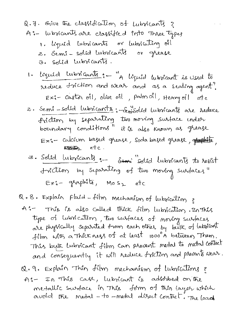- Q.7. Give the classification of Lubricants ? A:- lubricants are classified into Three types 1. liquid lubricants or lubricating oil 2. Semi-solid Lubricants or grease 3. solid lubricants.
	- 1. léquid lubricants :- "A léquid lubricant is used to reduce triction and wear and as a sealing agent? Exi- castor oil, olive oil, palmoil, Heavy oil etc
	- 2. Semi-solid lubricants: Emisolid Lubricants are reduce friction by separating two moving surface ender boundary conditions" it is also known as greage Exi- Calcium based grease, Soda based grease, générité,
	- 3. Solid lubricants: Semi solid lubricants to resist friction by separating of two moning surfaces" Ex:- graphite, Mos2 etc

Q.8. Explain Fluid-film Mechanism of Lubrication ?

- A'- This is also called thick film lubrication. In this type of lubsication, two subfaces of moning subfaces are physically separated from each other by bulk of lubricant film with a Thick ness of at least 1000°A between Them. This but Lubricant film can prevent metal to netal contact and consequently it will reduce friction and prevents wear.
- Q. 9. Explain Thin film mechanism of lubrications & A:- In This case, lubricant is adobthed on the metallic surface in This form of thin layer which avoid the metal - to -metal disect contact: The load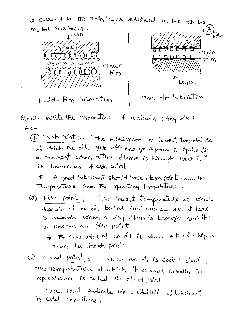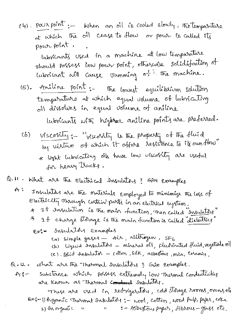(4). POUs point: - When an oil is cooled slowly, the temparature at which the oil cease to flow or pour is called its pour point.

Interscants used in a machine at low temporature should possess low pour point, otherwise solidifaction of Lubricant will cause Jamming of the machine.

(5). Aniline point :- The lowest equilibrium solution temperature at which equal volume of lubricating oil dissolves in equal volume of aniline

Lubricants with higher aniline points are preferred.

(b) viscosity: "viscosity is the property of the fluid by visture of which it offers resistance to its own flow" \* light lubricating oils have low viscobily are useful for heavy trucks.

Q.11. What are the Electrical Insulators? Give Examples

- $A^{\prime}$ Insulators are the materials employed to minimize the loss of Electricity oprough certain parts in an electrical system. \* It Insulation is the main function, then called Insulatess 4 If charge storage is the main function is called "dielectrics"
	- Ex: = Insulators Examples (a) simple gases - Ais, richtrogen, SFG<br>(b) liquid Insulators - mineral oil, plusinated fluid, regetable oil
		- (c). Solid Insulator cottors, silk, asbestons, mica, caramics,

Q.12. what are the Thermal Insulators 3 Guve Examples.

substance which possess extremely low Thesmal conductivities  $A_{\delta}^{\rho}$ are Known as Thermal Conduct Insulators.

These are used in retrigerators, cold storage rooms, overwel Ex6-1) organic Themmel Insulators: - wood, cotton, wood Pulp, paper, coke 2) In organic u : - Asbeston, paper, fibrous-glass etc.  $\mathbf{u}$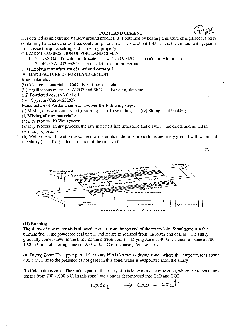#### **PORTLAND CEMENT**

It is defined as an extremely finely ground product. It is obtained by heating a mixture of argillaceous (clay containing) and calcareous (lime containing) raw materials to about 1500 c. It is then mixed with gypsum to increase the quick setting and hardening property.

CHEMICAL COMPOSITION OF PORTLAND CEMENT<br>1. 3CaO.SiO2 - Tri calcium Silicate 2. 3CaC

- 2. 3CaO.Al2O3 Tri calcium Aluminate
	- 3. 4CaO.AI203.Fe203 Tetra calcium alumino Ferrate

Q./3 Explain manufacture of Portland cement?

A: MANUFACTURE OF PORTLAND CEMENT

Raw materials:

(i) Calcareous materials, CaO Ex: Limestone, chalk.

(ii) Argillaceous materials, AI203 and Si02 Ex: clay, slate etc

(iii) Powdered coal (or) fuel oil.

(iv) Gypsum (CaS04.2H20)

Manufacture of Portland cement involves the following steps:

(i) Mixing of raw materials (ii) Burning (iii) Grinding (iv) Storage and Packing

# (i) **Mixing of raw materials:**

(a) Dry Process (b) Wet Process

(a) Dry Process: In dry process, the raw materials like limestone and clay(3: I) are dried, and mixed in definite proportions

(b) Wet process: In wet process, the raw materials in definite proportions are finely ground with water and the slurry (past like) is fed at the top of the rotary kiln.



## (II) **Burning**

The slurry of raw materials is allowed to enter from the top end of the rotary kiln. Simultaneously the burning fuel ( like powdered coal or oil) and air are introduced from the lower end of kiln. The slurry gradually comes down in the kiln into the different zones ( Drying Zone at 4000 :Calcination zone at 700 1000 o C and clinkering zone at 1250-1500 o C of increasing temperatures.

(a) Drying Zone: The upper part of the rotary kiln is known as drying zone, where the temperature is about  $400$  o C. Due to the presence of hot gases in this zone, water is evaporated from the slurry.

(b) Calcinations zone: The middle part of the rotary kiln is known as calcining zone, where the temperature ranges from 700 -1000 0 C. In this zone lime stone is decomposed into CaO and C02

 $CaCo<sub>3</sub> \longrightarrow Cao + Co<sub>2</sub>$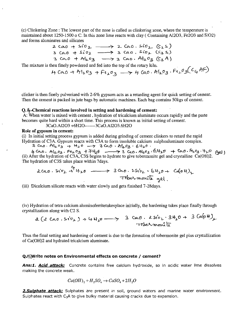(c) Clinkering Zone: The lowest part of the zone is called as clinkering zone, where the temperature is maintained about  $1250-1500$  o C. In this zone lime reacts with clay (Containing A12O3, Fe2O3 and SiO2) and forms aluminates and silicates

2. <:.tAO -t 5ol' 0 :.2- ".. :L Co.. 0 • s. L0:l- (S: :L 50 ) <:.0--0 + s.i0l- ., :!, C6to . s':o,>.. c..c2, So) '" CA.. 0 + .t>r-k- 03 .,. 3. CAo· A-b- *<sup>0</sup> <sup>3</sup>*Q:1> A )

The mixture is then finely powdered and fed into the top of the rotary kiln.

 $H(4.00 + 41203 + 6203) \rightarrow H(4.00 + 11203)$ .  $Fe_{2}03(C_{4} + 117)$ 

clinker is then finely pulverized with 2-6% gypsum acts as a retarding agent for quick setting of cement. Then the cement is packed in jute bags by automatic machines. Each bag contains 50kgs of cement.

#### Q.  $\not\!\!\!\mu$ -Chemical reactions involved in setting and hardening of cement:

A: When water is mixed with cement, hydration of tricalcium aluminate occurs rapidly and the paste becomes quite hard within a short time. This process is known as initial setting of cement.

3CaO.A1203 +6H20-------3CaO.AI203.6H20

# Role of gypsum in cement:

(i) In initial setting process gypsum is added during grinding of cement clinkers to retard the rapid Hydration of C3A. Gypsum reacts with C3A to form insoluble calcium sulphoaluminate complex.

2, CA.o. A-t... ° 2> -t \·h'" ....-'7 "6 G:t.o ' ~0.3 • 6 1-1-,..0 .

 $4-\frac{1}{2}$  Cao. Al203. Fe203 + 7 th20  $-$  3 Ceo. Al203:  $6420 + 60.$  Fe203.  $420$  (gel) (ii) After the hydration of C3A, C3S begins to hydrate to give tobermonite gel and crystalline Ca(OH)2. The hydration of C3S takes place within 7days.

$$
2(a0.5i\text{V}_2 + 4k_1\text{V}_2 - \rightarrow 3(a0.25i\text{V}_2 - 64k_1\text{V}_1 - (a(04))k_1
$$
  
\n $\rightarrow$  3(a0.25i\text{V}\_1 - 64k\_1\text{V}\_1 - (a(04))k\_1

(iii) Dicalcium silicate reacts with water slowly and gets finished 7-28days.

(iv) Hydration of tetra calcium aluminoferritetakesplace initially, the hardening takes place finally through crystallization along with C2 S.

 $3$  cao.  $2 sin_{L} \cdot 3H_10 + 3$  CaloH)  $\tau$ ubermonito

Thus the final setting and hardening of cement is due to the formation of tobermonite gel plus crystallization of Ca(OH)2 and hydrated tricalcium aluminate.

### Q./5)Write notes on Environmental effects on concrete / cement?

Ans:1. Acid attack: Concrete contains free calcium hydroxide, so in acidic water lime dissolves making the concrete weak.

$$
Ca(OH)_2 + H_2SO_4 \rightarrow CaSO_4 + 2H_2O
$$

**2. Sulphate attack:** Sulphates are present in soil, ground waters and marine water environment. Sulphates react with C<sub>3</sub>A to give bulky material causing cracks due to expansion.